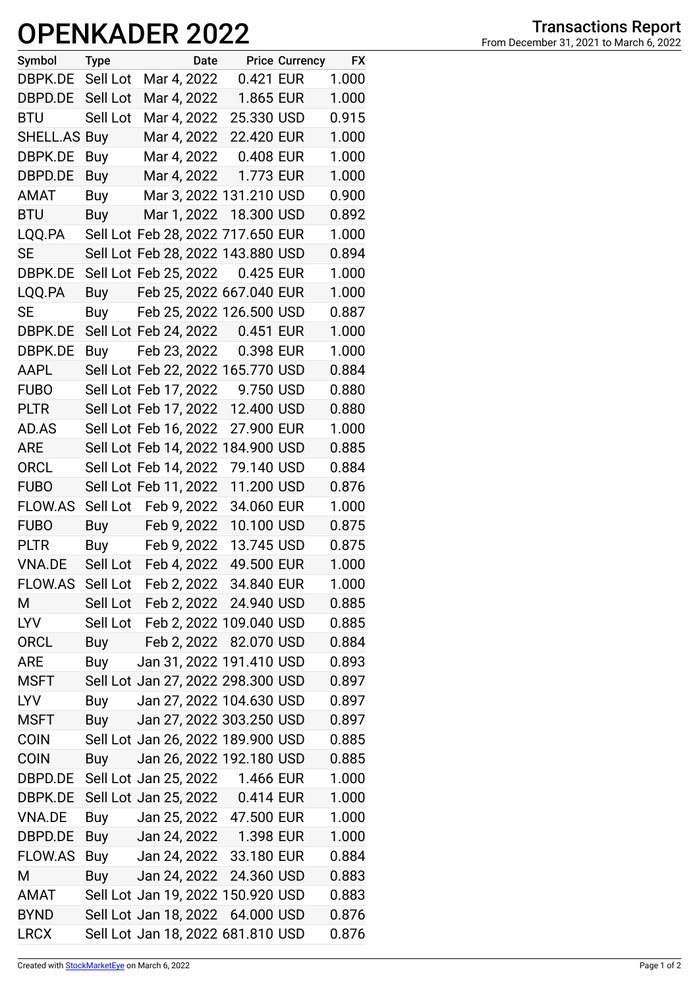## **OPENKADER 2022**

| Symbol         | <b>Type</b> | Date                              |            | <b>Price Currency</b> | <b>FX</b> |
|----------------|-------------|-----------------------------------|------------|-----------------------|-----------|
| DBPK.DE        | Sell Lot    | Mar 4, 2022                       | 0.421 EUR  |                       | 1.000     |
| DBPD.DE        | Sell Lot    | Mar 4, 2022                       | 1.865 EUR  |                       | 1.000     |
| <b>BTU</b>     | Sell Lot    | Mar 4, 2022                       | 25.330 USD |                       | 0.915     |
| SHELL.AS       | Buy         | Mar 4, 2022                       | 22.420 EUR |                       | 1.000     |
| DBPK.DE        | Buy         | Mar 4, 2022                       | 0.408 EUR  |                       | 1.000     |
| DBPD.DE        | Buy         | Mar 4, 2022                       | 1.773 EUR  |                       | 1.000     |
| <b>AMAT</b>    | Buy         | Mar 3, 2022 131.210 USD           |            |                       | 0.900     |
| <b>BTU</b>     | Buy         | Mar 1, 2022                       | 18.300 USD |                       | 0.892     |
| LQQ.PA         |             | Sell Lot Feb 28, 2022 717.650 EUR |            |                       | 1.000     |
| SE             |             | Sell Lot Feb 28, 2022 143.880 USD |            |                       | 0.894     |
| DBPK.DE        |             | Sell Lot Feb 25, 2022             | 0.425 EUR  |                       | 1.000     |
| LQQ.PA         | Buy         | Feb 25, 2022 667.040 EUR          |            |                       | 1.000     |
| <b>SE</b>      | Buy         | Feb 25, 2022 126.500 USD          |            |                       | 0.887     |
| DBPK.DE        |             | Sell Lot Feb 24, 2022 0.451 EUR   |            |                       | 1.000     |
| DBPK.DE        | Buy         | Feb 23, 2022                      | 0.398 EUR  |                       | 1.000     |
| AAPL           |             | Sell Lot Feb 22, 2022 165.770 USD |            |                       | 0.884     |
| <b>FUBO</b>    |             | Sell Lot Feb 17, 2022             | 9.750 USD  |                       | 0.880     |
| <b>PLTR</b>    |             | Sell Lot Feb 17, 2022             | 12.400 USD |                       | 0.880     |
| AD.AS          |             | Sell Lot Feb 16, 2022             | 27.900 EUR |                       | 1.000     |
| ARE            |             | Sell Lot Feb 14, 2022 184.900 USD |            |                       | 0.885     |
| ORCL           |             | Sell Lot Feb 14, 2022             | 79.140 USD |                       | 0.884     |
| <b>FUBO</b>    |             | Sell Lot Feb 11, 2022             | 11.200 USD |                       | 0.876     |
| FLOW.AS        | Sell Lot    | Feb 9, 2022                       | 34.060 EUR |                       | 1.000     |
| <b>FUBO</b>    |             | Buy Feb 9, 2022                   | 10.100 USD |                       | 0.875     |
| <b>PLTR</b>    |             | Buy Feb 9, 2022                   | 13.745 USD |                       | 0.875     |
| <b>VNA.DE</b>  |             | Sell Lot Feb 4, 2022              | 49.500 EUR |                       | 1.000     |
| FLOW.AS        |             | Sell Lot Feb 2, 2022 34.840 EUR   |            |                       | 1.000     |
| Μ              |             | Sell Lot Feb 2, 2022 24.940 USD   |            |                       | 0.885     |
| <b>LYV</b>     |             | Sell Lot Feb 2, 2022 109.040 USD  |            |                       | 0.885     |
| <b>ORCL</b>    |             | Buy Feb 2, 2022 82.070 USD        |            |                       | 0.884     |
| <b>ARE</b>     | Buy         | Jan 31, 2022 191.410 USD          |            |                       | 0.893     |
| MSFT           |             | Sell Lot Jan 27, 2022 298.300 USD |            |                       | 0.897     |
| <b>LYV</b>     | Buy         | Jan 27, 2022 104.630 USD          |            |                       | 0.897     |
| <b>MSFT</b>    | Buy         | Jan 27, 2022 303.250 USD          |            |                       | 0.897     |
| <b>COIN</b>    |             | Sell Lot Jan 26, 2022 189.900 USD |            |                       | 0.885     |
| <b>COIN</b>    | Buy         | Jan 26, 2022 192.180 USD          |            |                       | 0.885     |
| DBPD.DE        |             | Sell Lot Jan 25, 2022 1.466 EUR   |            |                       | 1.000     |
| DBPK.DE        |             | Sell Lot Jan 25, 2022 0.414 EUR   |            |                       | 1.000     |
| VNA.DE         | Buy         | Jan 25, 2022 47.500 EUR           |            |                       | 1.000     |
| DBPD.DE        |             | Buy Jan 24, 2022 1.398 EUR        |            |                       | 1.000     |
| <b>FLOW.AS</b> |             | Buy Jan 24, 2022 33.180 EUR       |            |                       | 0.884     |
| Μ              | Buy         | Jan 24, 2022 24.360 USD           |            |                       | 0.883     |
| AMAT           |             | Sell Lot Jan 19, 2022 150.920 USD |            |                       | 0.883     |
| <b>BYND</b>    |             | Sell Lot Jan 18, 2022 64.000 USD  |            |                       | 0.876     |
| <b>LRCX</b>    |             | Sell Lot Jan 18, 2022 681.810 USD |            |                       | 0.876     |